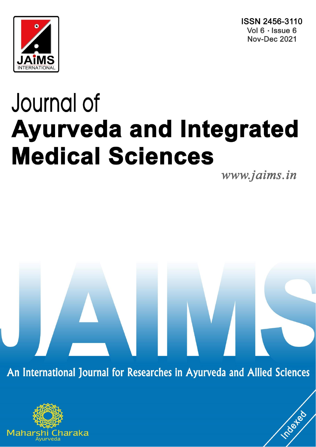ISSN 2456-3110 Vol 6 · Issue 6 **Nov-Dec 2021** 



# Journal of **Ayurveda and Integrated Medical Sciences**

www.jaims.in

**Indexed** 

An International Journal for Researches in Ayurveda and Allied Sciences

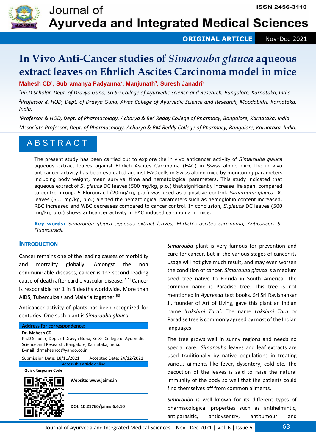

**ORIGINAL ARTICLE** Nov-Dec 2021

# **In Vivo Anti-Cancer studies of** *Simarouba glauca* **aqueous extract leaves on Ehrlich Ascites Carcinoma model in mice**

**Mahesh CD<sup>1</sup> , Subramanya Padyanna<sup>2</sup> , Manjunath<sup>3</sup> , Suresh Janadri<sup>3</sup>**

*<sup>1</sup>Ph.D Scholar, Dept. of Dravya Guna, Sri Sri College of Ayurvedic Science and Research, Bangalore, Karnataka, India. <sup>2</sup>Professor & HOD, Dept. of Dravya Guna, Alvas College of Ayurvedic Science and Research, Moodabidri, Karnataka, India.*

*<sup>3</sup>Professor & HOD, Dept. of Pharmacology, Acharya & BM Reddy College of Pharmacy, Bangalore, Karnataka, India. <sup>3</sup>Associate Professor, Dept. of Pharmacology, Acharya & BM Reddy College of Pharmacy, Bangalore, Karnataka, India.*

# A B S T R A C T

The present study has been carried out to explore the in vivo anticancer activity of *Simarouba glauca* aqueous extract leaves against Ehrlich Ascites Carcinoma (EAC) in Swiss albino mice.The in vivo anticancer activity has been evaluated against EAC cells in Swiss albino mice by monitoring parameters including body weight, mean survival time and hematological parameters. This study indicated that aqueous extract of *S. glauca* DC leaves (500 mg/kg, p.o.) that significantly increase life span, compared to control group. 5-Flurouracil (20mg/kg, p.o.) was used as a positive control. *Simarouba glauca* DC leaves (500 mg/kg, p.o.) alerted the hematological parameters such as hemoglobin content increased, RBC increased and WBC decreases compared to cancer control. In conclusion, *S.glauca* DC leaves (500 mg/kg, p.o.) shows anticancer activity in EAC induced carcinoma in mice.

**Key words:** *Simarouba glauca aqueous extract leaves, Ehrlich's ascites carcinoma, Anticancer, 5- Fluorouracil.*

### **INTRODUCTION**

Cancer remains one of the leading causes of morbidity and mortality globally. Amongst the non communicable diseases, cancer is the second leading cause of death after cardio vascular disease.**[1,4]** Cancer is responsible for 1 in 8 deaths worldwide. More than AIDS, Tuberculosis and Malaria together.**[5]**

Anticancer activity of plants has been recognized for centuries. One such plant is *Simarouba glauca*.

# **Address for correspondence: Dr. Mahesh CD** Ph.D Scholar, Dept. of Dravya Guna, Sri Sri College of Ayurvedic Science and Research, Bangalore, Karnataka, India. **E-mail:** drmaheshcd@yahoo.co.in Submission Date: 18/11/2021 Accepted Date: 24/12/2021 **Access this article online Quick Response Code Website: www.jaims.in DOI: 10.21760/jaims.6.6.10**

*Simarouba* plant is very famous for prevention and cure for cancer, but in the various stages of cancer its usage will not give much result, and may even worsen the condition of cancer. *Simarouba glauca* is a medium sized tree native to Florida in South America. The common name is Paradise tree. This tree is not mentioned in *Ayurveda* text books. Sri Sri Ravishankar Ji, founder of Art of Living, gave this plant an Indian name *'Lakshmi Taru'*. The name *Lakshmi Taru* or Paradise tree is commonly agreed by most of the Indian languages.

The tree grows well in sunny regions and needs no special care. *Simarouba* leaves and leaf extracts are used traditionally by native populations in treating various ailments like fever, dysentery, cold etc. The decoction of the leaves is said to raise the natural immunity of the body so well that the patients could find themselves off from common ailments.

*Simarouba* is well known for its different types of pharmacological properties such as antihelmintic, antiparasitic, antidysentry, antitumour and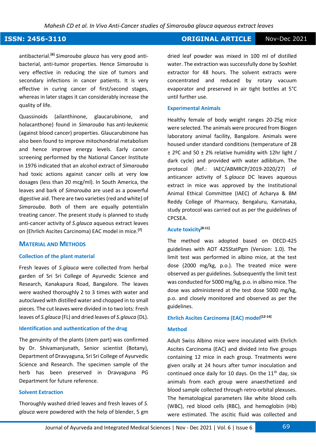### **ISSN: 2456-3110 ORIGINAL ARTICLE** Nov-Dec 2021

antibacterial.**[6]** *Simarouba glauca* has very good antibacterial, anti-tumor properties. Hence *Simarouba* is very effective in reducing the size of tumors and secondary infections in cancer patients. It is very effective in curing cancer of first/second stages, whereas in later stages it can considerably increase the quality of life.

Quassinoids (ailanthinone, glaucarubinone, and holacanthone) found in *Simarouba* has anti-leukemic (against blood cancer) properties. Glaucarubinone has also been found to improve mitochondrial metabolism and hence improve energy levels. Early cancer screening performed by the National Cancer Institute in 1976 indicated that an alcohol extract of *Simarouba* had toxic actions against cancer cells at very low dosages (less than 20 mcg/ml). In South America, the leaves and bark of *Simarouba* are used as a powerful digestive aid. There are two varieties (red and white) of *Simarouba*. Both of them are equally potentialin treating cancer. The present study is planned to study anti-cancer activity of *S.glauca* aqueous extract leaves on (Ehrlich Ascites Carcinoma) EAC model in mice.**[7]**

### **MATERIAL AND METHODS**

### **Collection of the plant material**

Fresh leaves of *S.glauca* were collected from herbal garden of Sri Sri College of Ayurvedic Science and Research, Kanakapura Road, Bangalore. The leaves were washed thoroughly 2 to 3 times with water and autoclaved with distilled water and chopped in to small pieces. The cut leaves were divided in to two lots: Fresh leaves of *S.glauca* (FL) and dried leaves of *S.glauca* (DL).

### **Identification and authentication of the drug**

The genuinity of the plants (stem part) was confirmed by Dr. Shivamanjunath, Senior scientist (Botany), Department of Dravyaguna, Sri Sri College of Ayurvedic Science and Research. The specimen sample of the herb has been preserved in Dravyaguna PG Department for future reference.

### **Solvent Extraction**

Thoroughly washed dried leaves and fresh leaves of *S. glauca* were powdered with the help of blender, 5 gm dried leaf powder was mixed in 100 ml of distilled water. The extraction was successfully done by Soxhlet extractor for 48 hours. The solvent extracts were concentrated and reduced by rotary vacuum evaporator and preserved in air tight bottles at 5°C until further use.

### **Experimental Animals**

Healthy female of body weight ranges 20-25g mice were selected. The animals were procured from Biogen laboratory animal facility, Bangalore. Animals were housed under standard conditions (temperature of 28 ± 2ºC and 50 ± 2% relative humidity with 12hr light / dark cycle) and provided with water adlibitum. The protocol (Ref.: IAEC/ABMRCP/2019-2020/27) of anticancer activity of S*.glauca* DC leaves aqueous extract in mice was approved by the Institutional Animal Ethical Committee (IAEC) of Acharya & BM Reddy College of Pharmacy, Bengaluru, Karnataka, study protocol was carried out as per the guidelines of CPCSEA.

### **Acute toxicity[8-11]**

The method was adopted based on OECD-425 guidelines with AOT 425StatPgm (Version: 1.0). The limit test was performed in albino mice, at the test dose (2000 mg/kg, p.o.). The treated mice were observed as per guidelines. Subsequently the limit test was conducted for 5000 mg/kg, p.o. in albino mice. The dose was administered at the test dose 5000 mg/kg, p.o. and closely monitored and observed as per the guidelines.

### **Ehrlich Ascites Carcinoma (EAC) model[12-14]**

### **Method**

Adult Swiss Albino mice were inoculated with Ehrlich Ascites Carcinoma (EAC) and divided into five groups containing 12 mice in each group. Treatments were given orally at 24 hours after tumor inoculation and continued once daily for 10 days. On the  $11<sup>th</sup>$  day, six animals from each group were anaesthetized and blood sample collected through retro-orbital plexuses. The hematological parameters like white blood cells (WBC), red blood cells (RBC), and hemoglobin (Hb) were estimated. The ascitic fluid was collected and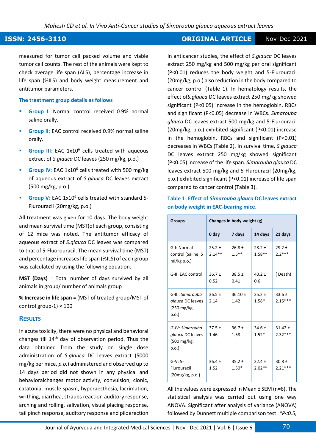### **ISSN: 2456-3110 CONSERVERTIES AND INCORDENT CONSERVERTIES CONSERVERTIES** Nov-Dec 2021

measured for tumor cell packed volume and viable tumor cell counts. The rest of the animals were kept to check average life span (ALS), percentage increase in life span (%ILS) and body weight measurement and antitumor parameters.

### **The treatment group details as follows**

- **Group I:** Normal control received 0.9% normal saline orally.
- **Group II:** EAC control received 0.9% normal saline orally.
- **Group III:** EAC 1x10<sup>6</sup> cells treated with aqueous extract of *S.glauca* DC leaves (250 mg/kg, p.o.)
- **Group IV:** EAC 1x10<sup>6</sup> cells treated with 500 mg/kg of aqueous extract of *S.glauca* DC leaves extract (500 mg/kg, p.o.)
- **Group V**: EAC 1x10<sup>6</sup> cells treated with standard 5-Flurouracil (20mg/kg, p.o.)

All treatment was given for 10 days. The body weight and mean survival time (MST)of each group, consisting of 12 mice was noted. The antitumor efficacy of aqueous extract of *S.glauca* DC leaves was compared to that of 5-Fluorouracil. The mean survival time (MST) and percentage increases life span (%ILS) of each group was calculated by using the following equation.

**MST (Days)** = Total number of days survived by all animals in group/ number of animals group

**% Increase in life span** = (MST of treated group/MST of control group-1)  $\times$  100

### **RESULTS**

In acute toxicity, there were no physical and behavioral changes till 14<sup>th</sup> day of observation period. Thus the data obtained from the study on single dose administration of *S.glauca* DC leaves extract (5000 mg/kg per mice, *p.o.*) administered and observed up to 14 days period did not shown in any physical and behavioralchanges motor activity, convulsion, clonic, catatonia, muscle spasm, hyperaesthesia, lacrimation, writhing, diarrhea, straubs reaction auditory response, arching and rolling, salivation, visual placing response, tail pinch response, auditory response and piloerection

In anticancer studies**,** the effect of *S.glauca* DC leaves extract 250 mg/kg and 500 mg/kg per oral significant (P<0.01) reduces the body weight and 5-Flurouracil (20mg/kg, p.o.) also reduction in the body compared to cancer control (Table 1). In hematology results, the effect of*S.glauca* DC leaves extract 250 mg/kg showed significant (P<0.05) increase in the hemoglobin, RBCs and significant (P<0.05) decrease in WBCs. *Simarouba glauca* DC leaves extract 500 mg/kg and 5-Flurouracil (20mg/kg, p.o.) exhibited significant (P<0.01) increase in the hemoglobin, RBCs and significant (P<0.01) decreases in WBCs (Table 2). In survival time, *S.glauca* DC leaves extract 250 mg/kg showed significant (P<0.05) increase of the life span. *Simarouba glauca* DC leaves extract 500 mg/kg and 5-Flurouracil (20mg/kg, p.o.) exhibited significant (P<0.01) increase of life span compared to cancer control (Table 3).

| <b>Groups</b>                                                         | Changes in body weight (g) |                        |                        |                          |
|-----------------------------------------------------------------------|----------------------------|------------------------|------------------------|--------------------------|
|                                                                       | 0 day                      | 7 days                 | 14 days                | 21 days                  |
| G-I: Normal<br>control (Saline, 5<br>$ml/kg$ p.o.)                    | $25.2 \pm$<br>$2.14**$     | $26.8 \pm$<br>$1.5***$ | $28.2 \pm$<br>$1.58**$ | $29.2 \pm$<br>$2.2***$   |
| G-II: EAC control                                                     | $36.7 \pm$<br>0.52         | $38.5 \pm$<br>0.41     | $40.2 \pm$<br>0.6      | (Death)                  |
| G-III: Simarouba<br>glauca DC leaves<br>$(250 \text{ mg/kg})$<br>p.o. | $36.5 \pm$<br>2.14         | $36.10 \pm$<br>1.42    | $35.2 +$<br>$1.58*$    | $33.6 \pm$<br>$2.15***$  |
| G-IV: Simarouba<br>glauca DC leaves<br>(500 mg/kg,<br>p.o.            | $37.5 \pm$<br>1.46         | $36.7 \pm$<br>1.58     | $34.6 \pm$<br>$1.52*$  | $31.42 \pm$<br>$2.32***$ |
| $G-V: 5-$<br>Flurouracil<br>(20mg/kg, p.o.)                           | $36.4 \pm$<br>1.52         | $35.2 \pm$<br>$1.50*$  | $32.4 \pm$<br>$2.02**$ | $30.8 \pm$<br>$2.21***$  |

**Table 1: Effect of** *Simarouba glauca* **DC leaves extract on body weight in EAC**‑**bearing mice**.

All the values were expressed in Mean ± SEM (n=6). The statistical analysis was carried out using one way ANOVA. Significant after analysis of variance (ANOVA) followed by Dunnett multiple comparison test. *\*P<0.5,*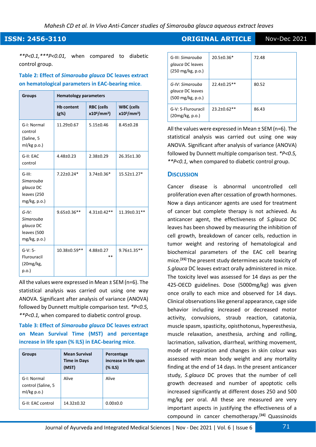*\*\*P<0.1,\*\*\*P<0.01,* when compared to diabetic control group.

### **Table 2: Effect of** *Simarouba glauca* **DC leaves extract on hematological parameters in EAC**‑**bearing mice**.

| <b>Groups</b>                                                      | <b>Hematology parameters</b> |                                   |                                   |  |
|--------------------------------------------------------------------|------------------------------|-----------------------------------|-----------------------------------|--|
|                                                                    | <b>Hb</b> content<br>$(g\%)$ | <b>RBC</b> (cells<br>$x10^6/mm^3$ | <b>WBC</b> (cells<br>$x10^3/mm^3$ |  |
| G-I: Normal<br>control<br>(Saline, 5<br>$ml/kg$ p.o.)              | $11.29 \pm 0.67$             | $5.15 \pm 0.46$                   | $8.45 \pm 0.28$                   |  |
| G-II: EAC<br>control                                               | 4.48±0.23                    | 2.38±0.29                         | 26.35±1.30                        |  |
| $G-III$ :<br>Simarouba<br>glauca DC<br>leaves (250<br>mg/kg, p.o.) | 7.22±0.24*                   | $3.74 \pm 0.36*$                  | 15.52±1.27*                       |  |
| $G-IV:$<br>Simarouba<br>glauca DC<br>leaves (500<br>mg/kg, p.o.)   | 9.65±0.36**                  | $4.31 \pm 0.42**$                 | 11.39±0.31**                      |  |
| $G-V: 5-$<br>Flurouracil<br>(20mg/kg,<br>p.o.                      | 10.38±0.59**                 | 4.88±0.27<br>**                   | 9.76±1.35**                       |  |

All the values were expressed in Mean ± SEM (n=6). The statistical analysis was carried out using one way ANOVA. Significant after analysis of variance (ANOVA) followed by Dunnett multiple comparison test. *\*P<0.5, \*\*P<0.1,* when compared to diabetic control group.

**Table 3: Effect of** *Simarouba glauca* **DC leaves extract on Mean Survival Time (MST) and percentage increase in life span (% ILS) in EAC**‑**bearing mice**.

| <b>Groups</b>                                      | <b>Mean Survival</b><br><b>Time in Days</b><br>(MST) | Percentage<br>increase in life span<br>(X ILS) |
|----------------------------------------------------|------------------------------------------------------|------------------------------------------------|
| G-I: Normal<br>control (Saline, 5<br>$ml/kg$ p.o.) | Alive                                                | Alive                                          |
| G-II: EAC control                                  | 14.32±0.32                                           | $0.00 + 0.0$                                   |

**ISSN: 2456-3110 CONSERVERTIES AND INCORDUCT ORIGINAL ARTICLE** Nov-Dec 2021

| G-III: Simarouba<br>glauca DC leaves<br>$(250 \text{ mg/kg}, p.o.)$ | 20.5±0.36*         | 72.48 |
|---------------------------------------------------------------------|--------------------|-------|
| G-IV: Simarouba<br>glauca DC leaves<br>$(500 \text{ mg/kg}, p.o.)$  | $22.4 \pm 0.25$ ** | 80.52 |
| G-V: 5-Flurouracil<br>(20mg/kg, p.o.)                               | $23.2 \pm 0.62$ ** | 86.43 |

All the values were expressed in Mean ± SEM (n=6). The statistical analysis was carried out using one way ANOVA. Significant after analysis of variance (ANOVA) followed by Dunnett multiple comparison test. *\*P<0.5, \*\*P<0.1,* when compared to diabetic control group.

### **DISCUSSION**

Cancer disease is abnormal uncontrolled cell proliferation even after cessation of growth hormones. Now a days anticancer agents are used for treatment of cancer but complete therapy is not achieved. As anticancer agent, the effectiveness of *S.glauca* DC leaves has been showed by measuring the inhibition of cell growth, breakdown of cancer cells, reduction in tumor weight and restoring of hematological and biochemical parameters of the EAC cell bearing mice.**[15]** The present study determines acute toxicity of *S.glauca* DC leaves extract orally administered in mice. The toxicity level was assessed for 14 days as per the 425-OECD guidelines. Dose (5000mg/kg) was given once orally to each mice and observed for 14 days. Clinical observations like general appearance, cage side behavior including increased or decreased motor activity, convulsions, straub reaction, catatonia, muscle spasm, spasticity, opisthotonus, hyperesthesia, muscle relaxation, anesthesia, arching and rolling, lacrimation, salivation, diarrheal, writhing movement, mode of respiration and changes in skin colour was assessed with mean body weight and any mortality finding at the end of 14 days. In the present anticancer study, *S.glauca* DC proves that the number of cell growth decreased and number of apoptotic cells increased significantly at different doses 250 and 500 mg/kg per oral. All these are measured are very important aspects in justifying the effectiveness of a compound in cancer chemotherapy.**[16]** Quassinoids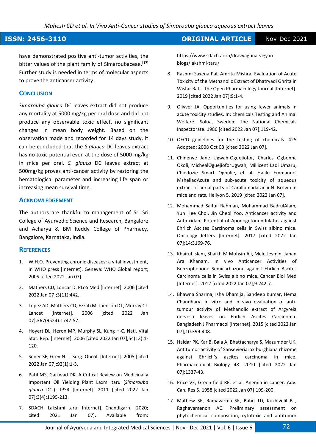### **ISSN: 2456-3110 ORIGINAL ARTICLE** Nov-Dec 2021

have demonstrated positive anti-tumor activities, the bitter values of the plant family of Simaroubaceae.**[17]** Further study is needed in terms of molecular aspects to prove the anticancer activity.

### **CONCLUSION**

*Simarouba glauca* DC leaves extract did not produce any mortality at 5000 mg/kg per oral dose and did not produce any observable toxic effect, no significant changes in mean body weight. Based on the observation made and recorded for 14 days study, it can be concluded that the *S.glauca* DC leaves extract has no toxic potential even at the dose of 5000 mg/kg in mice per oral. *S. glauca* DC leaves extract at 500mg/kg proves anti-cancer activity by restoring the hematological parameter and increasing life span or increasing mean survival time.

### **ACKNOWLEDGEMENT**

The authors are thankful to management of Sri Sri College of Ayurvedic Science and Research, Bangalore and Acharya & BM Reddy College of Pharmacy, Bangalore, Karnataka, India.

### **REFERENCES**

- 1. W.H.O. Preventing chronic diseases: a vital investment, in WHO press [Internet]. Geneva: WHO Global report; 2005 [cited 2022 Jan 07].
- 2. Mathers CD, Loncar D. PLoS Med [Internet]. 2006 [cited 2022 Jan 07];3(11):442.
- 3. Lopez AD, Mathers CD, Ezzati M, Jamison DT, Murray CJ. Lancet [Internet]. 2006 [cited 2022 Jan 07];367(9524):1747-57.
- 4. Hoyert DL, Heron MP, Murphy SL, Kung H-C. Natl. Vital Stat. Rep. [Internet]. 2006 [cited 2022 Jan 07];54(13):1- 120.
- 5. Sener SF, Grey N. J. Surg. Oncol. [Internet]. 2005 [cited 2022 Jan 07];92(1):1-3.
- 6. Patil MS, Gaikwad DK. A Critical Review on Medicinally Important Oil Yielding Plant Laxmi taru (*Simarouba glauca* DC.). JPSR [Internet]. 2011 [cited 2022 Jan 07];3(4):1195-213.
- 7. SDACH. Lakshmi taru [Internet]. Chandigarh. [2020; cited 2021 Jan 07]. Available from:

https://www.sdach.ac.in/dravyaguna-vigyanblogs/lakshmi-taru/

- 8. Rashmi Saxena Pal, Amrita Mishra. Evaluation of Acute Toxicity of the Methanolic Extract of Dhatryadi Ghrita in Wistar Rats. The Open Pharmacology Journal [Internet]. 2019 [cited 2022 Jan 07];9:1-4.
- 9. Olivver JA. Opportunities for using fewer animals in acute toxicity studies. In: chemicals Testing and Animal Welfare. Solna, Sweden: The National Chemicals Inspectorate. 1986 [cited 2022 Jan 07];119-42.
- 10. OECD guidelines for the testing of chemicals. 425 Adopted: 2008 Oct 03 [cited 2022 Jan 07].
- 11. Chinenye Jane Ugwah-Oguejiofor, Charles Ogbonna Okoli, MichealOguejioforUgwah, Millicent Ladi Umaru, Chiedozie Smart Ogbulie, et al. Halilu Emmanuel MsheliadAcute and sub-acute toxicity of aqueous extract of aerial parts of Carallumadalzielii N. Brown in mice and rats. Heliyon 5. 2019 [cited 2022 Jan 07].
- 12. Mohammad Saifur Rahman, Mohammad BadrulAlam, Yun Hee Choi, Jin Cheol Yoo. Anticancer activity and Antioxidant Potential of Aponogetonundulatus against Ehrlich Ascites Carcinoma cells in Swiss albino mice. Oncology letters [Internet]. 2017 [cited 2022 Jan 07];14:3169-76.
- 13. Khairul Islam, Shaikh M Mohsin Ali, Mele Jesmin, Jahan Ara Khanam. In vivo Anticancer Activities of Benzophenone Semicarbazone against Ehrlich Ascites Carcinoma cells in Swiss albino mice. Cancer Biol Med [Internet]. 2012 [cited 2022 Jan 07];9:242-7.
- 14. Bhawna Sharma, Isha Dhamija, Sandeep Kumar, Hema Chaudhary. In vitro and in vivo evaluation of antitumour activity of Methanolic extract of Argyreia nervosa leaves on Ehrlich Ascites Carcinoma. Bangladesh J Pharmacol [Internet]. 2015 [cited 2022 Jan 07];10:399-408.
- 15. Haldar PK, Kar B, Bala A, Bhattacharya S, Mazumder UK. Antitumor activity of Sansevieriarox burghiana rhizome against Ehrlich's ascites carcinoma in mice. Pharmaceutical Biology 48. 2010 [cited 2022 Jan 07]:1337-43.
- 16. Price VE, Green field RE, et al. Anemia in cancer. Adv. Can. Res 5. 1958 [cited 2022 Jan 07]:199-200.
- 17. Mathew SE, Ramavarma SK, Babu TD, Kuzhivelil BT, Raghavamenon AC. Preliminary assessment on phytochemical composition, cytotoxic and antitumor